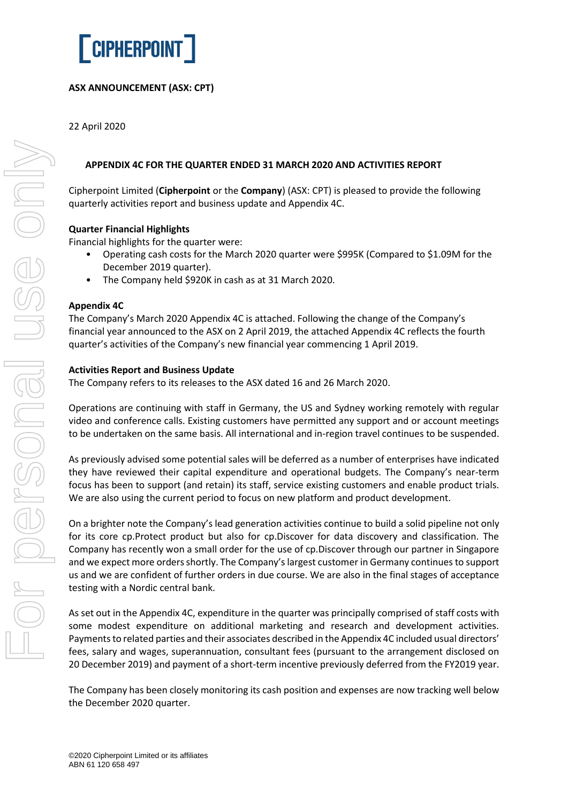

# **ASX ANNOUNCEMENT (ASX: CPT)**

22 April 2020

## **APPENDIX 4C FOR THE QUARTER ENDED 31 MARCH 2020 AND ACTIVITIES REPORT**

Cipherpoint Limited (**Cipherpoint** or the **Company**) (ASX: CPT) is pleased to provide the following quarterly activities report and business update and Appendix 4C.

#### **Quarter Financial Highlights**

Financial highlights for the quarter were:

- Operating cash costs for the March 2020 quarter were \$995K (Compared to \$1.09M for the December 2019 quarter).
- The Company held \$920K in cash as at 31 March 2020.

#### **Appendix 4C**

The Company's March 2020 Appendix 4C is attached. Following the change of the Company's financial year announced to the ASX on 2 April 2019, the attached Appendix 4C reflects the fourth quarter's activities of the Company's new financial year commencing 1 April 2019.

#### **Activities Report and Business Update**

The Company refers to its releases to the ASX dated 16 and 26 March 2020.

Operations are continuing with staff in Germany, the US and Sydney working remotely with regular video and conference calls. Existing customers have permitted any support and or account meetings to be undertaken on the same basis. All international and in-region travel continues to be suspended.

As previously advised some potential sales will be deferred as a number of enterprises have indicated they have reviewed their capital expenditure and operational budgets. The Company's near-term focus has been to support (and retain) its staff, service existing customers and enable product trials. We are also using the current period to focus on new platform and product development.

On a brighter note the Company's lead generation activities continue to build a solid pipeline not only for its core cp.Protect product but also for cp.Discover for data discovery and classification. The Company has recently won a small order for the use of cp.Discover through our partner in Singapore and we expect more orders shortly. The Company's largest customer in Germany continues to support us and we are confident of further orders in due course. We are also in the final stages of acceptance testing with a Nordic central bank.

As set out in the Appendix 4C, expenditure in the quarter was principally comprised of staff costs with some modest expenditure on additional marketing and research and development activities. Payments to related parties and their associates described in the Appendix 4C included usual directors' fees, salary and wages, superannuation, consultant fees (pursuant to the arrangement disclosed on 20 December 2019) and payment of a short-term incentive previously deferred from the FY2019 year.

The Company has been closely monitoring its cash position and expenses are now tracking well below the December 2020 quarter.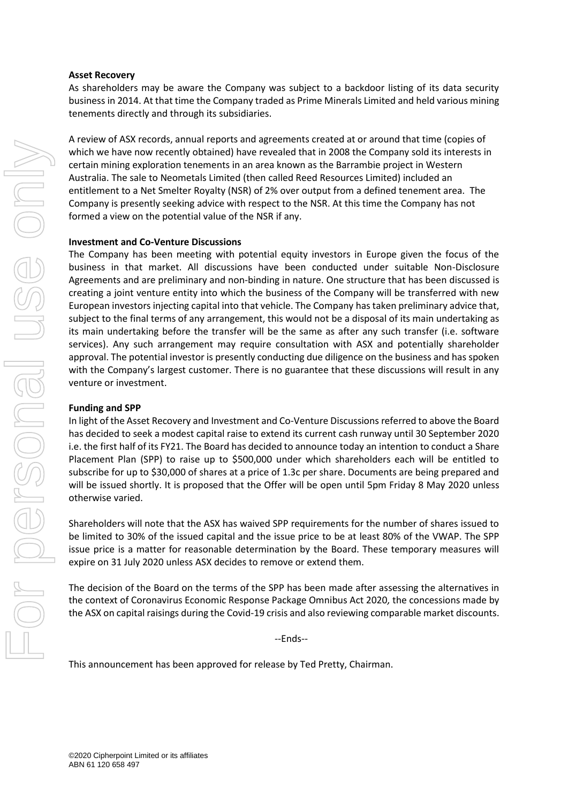#### **Asset Recovery**

As shareholders may be aware the Company was subject to a backdoor listing of its data security business in 2014. At that time the Company traded as Prime Minerals Limited and held various mining tenements directly and through its subsidiaries.

A review of ASX records, annual reports and agreements created at or around that time (copies of which we have now recently obtained) have revealed that in 2008 the Company sold its interests in certain mining exploration tenements in an area known as the Barrambie project in Western Australia. The sale to Neometals Limited (then called Reed Resources Limited) included an entitlement to a Net Smelter Royalty (NSR) of 2% over output from a defined tenement area. The Company is presently seeking advice with respect to the NSR. At this time the Company has not formed a view on the potential value of the NSR if any.

#### **Investment and Co-Venture Discussions**

The Company has been meeting with potential equity investors in Europe given the focus of the business in that market. All discussions have been conducted under suitable Non-Disclosure Agreements and are preliminary and non-binding in nature. One structure that has been discussed is creating a joint venture entity into which the business of the Company will be transferred with new European investors injecting capital into that vehicle. The Company has taken preliminary advice that, subject to the final terms of any arrangement, this would not be a disposal of its main undertaking as its main undertaking before the transfer will be the same as after any such transfer (i.e. software services). Any such arrangement may require consultation with ASX and potentially shareholder approval. The potential investor is presently conducting due diligence on the business and has spoken with the Company's largest customer. There is no guarantee that these discussions will result in any venture or investment.

#### **Funding and SPP**

In light of the Asset Recovery and Investment and Co-Venture Discussions referred to above the Board has decided to seek a modest capital raise to extend its current cash runway until 30 September 2020 i.e. the first half of its FY21. The Board has decided to announce today an intention to conduct a Share Placement Plan (SPP) to raise up to \$500,000 under which shareholders each will be entitled to subscribe for up to \$30,000 of shares at a price of 1.3c per share. Documents are being prepared and will be issued shortly. It is proposed that the Offer will be open until 5pm Friday 8 May 2020 unless otherwise varied.

Shareholders will note that the ASX has waived SPP requirements for the number of shares issued to be limited to 30% of the issued capital and the issue price to be at least 80% of the VWAP. The SPP issue price is a matter for reasonable determination by the Board. These temporary measures will expire on 31 July 2020 unless ASX decides to remove or extend them.

The decision of the Board on the terms of the SPP has been made after assessing the alternatives in the context of Coronavirus Economic Response Package Omnibus Act 2020*,* the concessions made by the ASX on capital raisings during the Covid-19 crisis and also reviewing comparable market discounts.

--Ends--

This announcement has been approved for release by Ted Pretty, Chairman.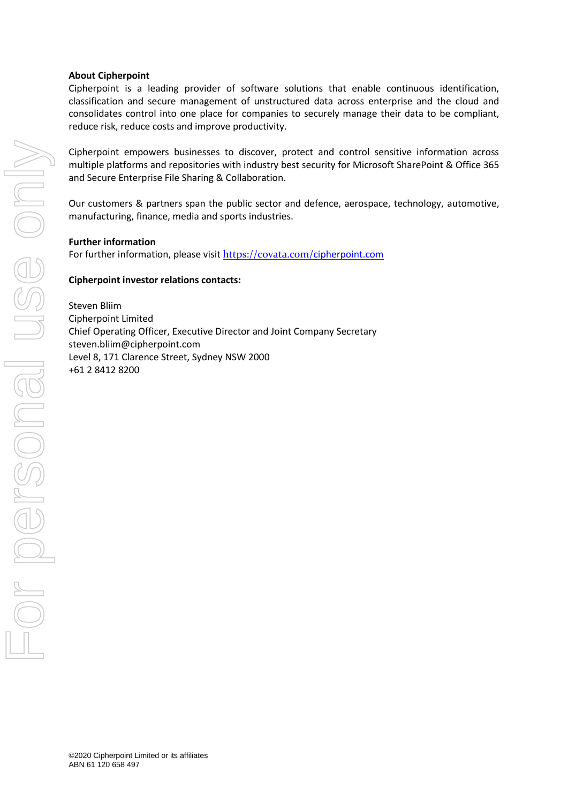#### **About Cipherpoint**

Cipherpoint is a leading provider of software solutions that enable continuous identification, classification and secure management of unstructured data across enterprise and the cloud and consolidates control into one place for companies to securely manage their data to be compliant, reduce risk, reduce costs and improve productivity.

Cipherpoint empowers businesses to discover, protect and control sensitive information across multiple platforms and repositories with industry best security for Microsoft SharePoint & Office 365 and Secure Enterprise File Sharing & Collaboration.

Our customers & partners span the public sector and defence, aerospace, technology, automotive, manufacturing, finance, media and sports industries.

**Further information**

For further information, please visit <https://covata.com/>[cipherpoint.com](https://cipherpoint.com/)

### **Cipherpoint investor relations contacts:**

Steven Bliim Cipherpoint Limited Chief Operating Officer, Executive Director and Joint Company Secretary steven.bliim@cipherpoint.com Level 8, 171 Clarence Street, Sydney NSW 2000 +61 2 8412 8200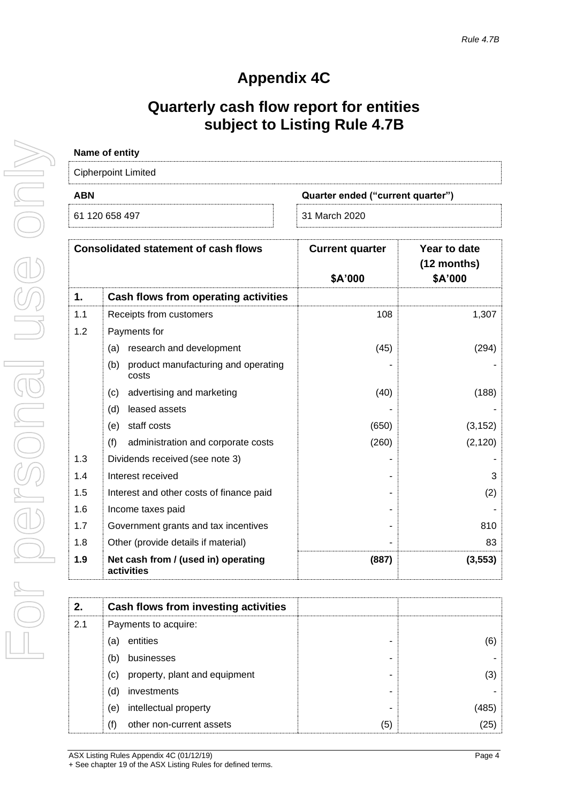# **Appendix 4C**

# **Quarterly cash flow report for entities subject to Listing Rule 4.7B**

| <b>Cipherpoint Limited</b>        |  |  |
|-----------------------------------|--|--|
| Quarter ended ("current quarter") |  |  |
| 31 March 2020                     |  |  |
|                                   |  |  |

| <b>Consolidated statement of cash flows</b> |                                                     | <b>Current quarter</b> | Year to date<br>$(12$ months) |
|---------------------------------------------|-----------------------------------------------------|------------------------|-------------------------------|
|                                             |                                                     | \$A'000                | \$A'000                       |
| 1.                                          | Cash flows from operating activities                |                        |                               |
| 1.1                                         | Receipts from customers                             | 108                    | 1,307                         |
| 1.2                                         | Payments for                                        |                        |                               |
|                                             | research and development<br>(a)                     | (45)                   | (294)                         |
|                                             | product manufacturing and operating<br>(b)<br>costs |                        |                               |
|                                             | advertising and marketing<br>(c)                    | (40)                   | (188)                         |
|                                             | leased assets<br>(d)                                |                        |                               |
|                                             | staff costs<br>(e)                                  | (650)                  | (3, 152)                      |
|                                             | (f)<br>administration and corporate costs           | (260)                  | (2, 120)                      |
| 1.3                                         | Dividends received (see note 3)                     |                        |                               |
| 1.4                                         | Interest received                                   |                        | 3                             |
| 1.5                                         | Interest and other costs of finance paid            |                        | (2)                           |
| 1.6                                         | Income taxes paid                                   |                        |                               |
| 1.7                                         | Government grants and tax incentives                |                        | 810                           |
| 1.8                                         | Other (provide details if material)                 |                        | 83                            |
| 1.9                                         | Net cash from / (used in) operating<br>activities   | (887)                  | (3, 553)                      |

| 2.  | Cash flows from investing activities |     |    |
|-----|--------------------------------------|-----|----|
| 2.1 | Payments to acquire:                 |     |    |
|     | entities<br>a)                       |     | (6 |
|     | businesses<br>b)                     |     |    |
|     | property, plant and equipment<br>(C) |     | 3  |
|     | investments<br>(d                    |     |    |
|     | intellectual property<br>(e)         |     |    |
|     | other non-current assets<br>'f)      | (5) | 25 |

For personal use only ISS ON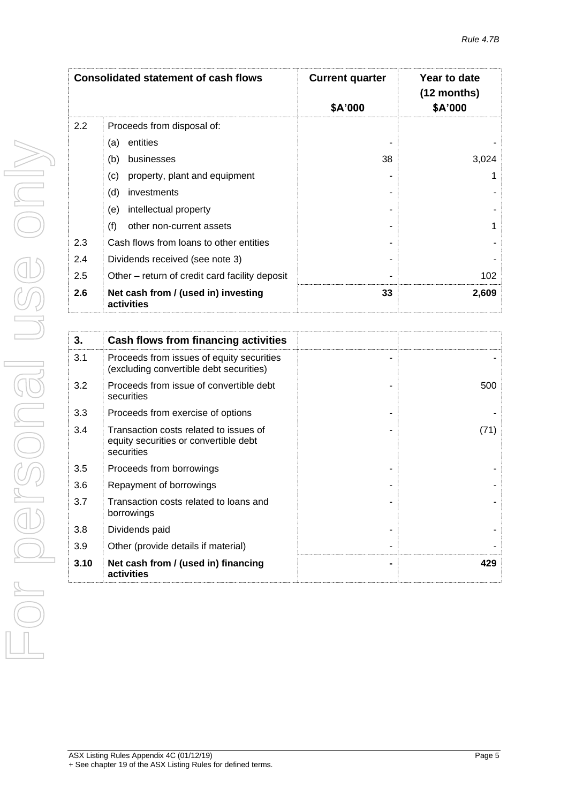| <b>Consolidated statement of cash flows</b> |                                                   | <b>Current quarter</b><br>\$A'000 | Year to date<br>$(12$ months)<br>\$A'000 |
|---------------------------------------------|---------------------------------------------------|-----------------------------------|------------------------------------------|
| $2.2\phantom{0}$                            | Proceeds from disposal of:                        |                                   |                                          |
|                                             | entities<br>(a)                                   |                                   |                                          |
|                                             | (b)<br>businesses                                 | 38                                | 3,024                                    |
|                                             | (c)<br>property, plant and equipment              |                                   |                                          |
|                                             | (d)<br>investments                                |                                   |                                          |
|                                             | intellectual property<br>(e)                      |                                   |                                          |
|                                             | (f)<br>other non-current assets                   |                                   |                                          |
| 2.3                                         | Cash flows from loans to other entities           |                                   |                                          |
| 2.4                                         | Dividends received (see note 3)                   |                                   |                                          |
| 2.5                                         | Other – return of credit card facility deposit    |                                   | 102                                      |
| 2.6                                         | Net cash from / (used in) investing<br>activities | 33                                | 2,609                                    |

| 3.   | Cash flows from financing activities                                                          |      |
|------|-----------------------------------------------------------------------------------------------|------|
| 3.1  | Proceeds from issues of equity securities<br>(excluding convertible debt securities)          |      |
| 3.2  | Proceeds from issue of convertible debt<br>securities                                         | 500  |
| 3.3  | Proceeds from exercise of options                                                             |      |
| 3.4  | Transaction costs related to issues of<br>equity securities or convertible debt<br>securities | (71) |
| 3.5  | Proceeds from borrowings                                                                      |      |
| 3.6  | Repayment of borrowings                                                                       |      |
| 3.7  | Transaction costs related to loans and<br>borrowings                                          |      |
| 3.8  | Dividends paid                                                                                |      |
| 3.9  | Other (provide details if material)                                                           |      |
| 3.10 | Net cash from / (used in) financing<br>activities                                             | 429  |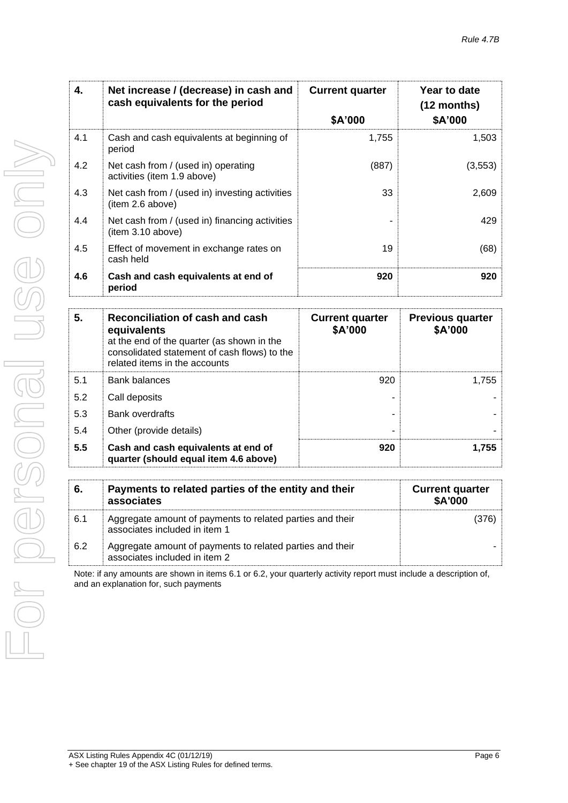| 4.  | Net increase / (decrease) in cash and<br>cash equivalents for the period | <b>Current quarter</b> | Year to date<br>$(12$ months) |
|-----|--------------------------------------------------------------------------|------------------------|-------------------------------|
|     |                                                                          | \$A'000                | \$A'000                       |
| 4.1 | Cash and cash equivalents at beginning of<br>period                      | 1,755                  | 1,503                         |
| 4.2 | Net cash from / (used in) operating<br>activities (item 1.9 above)       | (887)                  | (3, 553)                      |
| 4.3 | Net cash from / (used in) investing activities<br>(item 2.6 above)       | 33                     | 2,609                         |
| 4.4 | Net cash from / (used in) financing activities<br>item 3.10 above)       |                        | 429                           |
| 4.5 | Effect of movement in exchange rates on<br>cash held                     | 19                     | (68)                          |
| 4.6 | Cash and cash equivalents at end of<br>period                            | 920                    | 920                           |
|     |                                                                          |                        |                               |

| 5.  | Reconciliation of cash and cash<br>equivalents<br>at the end of the quarter (as shown in the<br>consolidated statement of cash flows) to the<br>related items in the accounts | <b>Current quarter</b><br>\$A'000 | <b>Previous quarter</b><br>\$A'000 |
|-----|-------------------------------------------------------------------------------------------------------------------------------------------------------------------------------|-----------------------------------|------------------------------------|
| 5.1 | <b>Bank balances</b>                                                                                                                                                          | 920                               | 1,755                              |
| 5.2 | Call deposits                                                                                                                                                                 |                                   |                                    |
| 5.3 | <b>Bank overdrafts</b>                                                                                                                                                        |                                   |                                    |
| 5.4 | Other (provide details)                                                                                                                                                       | -                                 |                                    |
| 5.5 | Cash and cash equivalents at end of<br>quarter (should equal item 4.6 above)                                                                                                  | 920                               | 1,755                              |

| 6.  | Payments to related parties of the entity and their<br>associates                          | <b>Current quarter</b><br><b>\$A'000</b> |
|-----|--------------------------------------------------------------------------------------------|------------------------------------------|
| 6.1 | Aggregate amount of payments to related parties and their<br>associates included in item 1 |                                          |
| 6.2 | Aggregate amount of payments to related parties and their<br>associates included in item 2 |                                          |

Note: if any amounts are shown in items 6.1 or 6.2, your quarterly activity report must include a description of, and an explanation for, such payments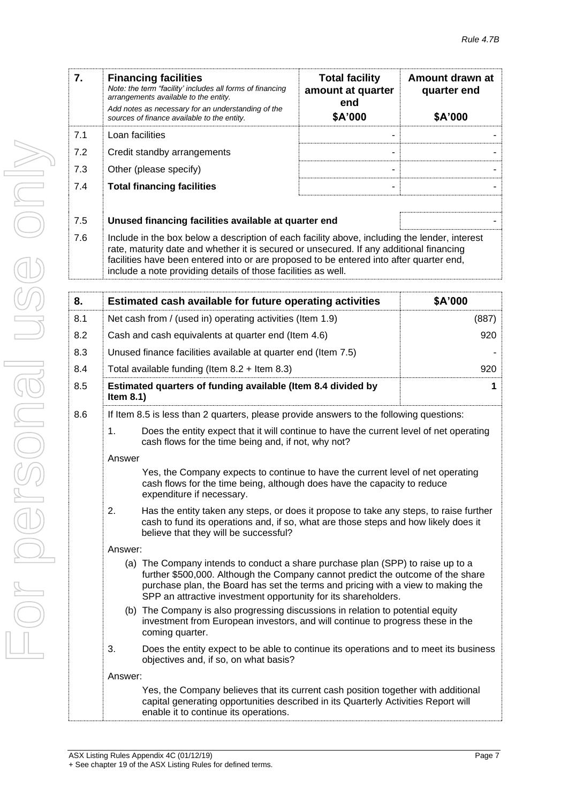| 7.  | <b>Financing facilities</b><br>Note: the term "facility' includes all forms of financing<br>arrangements available to the entity.<br>Add notes as necessary for an understanding of the<br>sources of finance available to the entity.                                                                                                               | <b>Total facility</b><br>amount at quarter<br>end<br>\$A'000 | Amount drawn at<br>quarter end<br>\$A'000 |
|-----|------------------------------------------------------------------------------------------------------------------------------------------------------------------------------------------------------------------------------------------------------------------------------------------------------------------------------------------------------|--------------------------------------------------------------|-------------------------------------------|
| 7.1 | Loan facilities                                                                                                                                                                                                                                                                                                                                      |                                                              |                                           |
| 7.2 | Credit standby arrangements                                                                                                                                                                                                                                                                                                                          |                                                              |                                           |
| 7.3 | Other (please specify)                                                                                                                                                                                                                                                                                                                               |                                                              |                                           |
| 7.4 | <b>Total financing facilities</b>                                                                                                                                                                                                                                                                                                                    |                                                              |                                           |
| 7.5 | Unused financing facilities available at quarter end                                                                                                                                                                                                                                                                                                 |                                                              |                                           |
| 7.6 | Include in the box below a description of each facility above, including the lender, interest<br>rate, maturity date and whether it is secured or unsecured. If any additional financing<br>facilities have been entered into or are proposed to be entered into after quarter end,<br>include a note providing details of those facilities as well. |                                                              |                                           |
| 8.  | Estimated cash available for future operating activities                                                                                                                                                                                                                                                                                             |                                                              | \$A'000                                   |

| ο.  |                                                                                                                                                                                                                              | Estimated cash available for future operating activities                                                                                                                                                                                                                                                                 | JA UUU      |
|-----|------------------------------------------------------------------------------------------------------------------------------------------------------------------------------------------------------------------------------|--------------------------------------------------------------------------------------------------------------------------------------------------------------------------------------------------------------------------------------------------------------------------------------------------------------------------|-------------|
| 8.1 |                                                                                                                                                                                                                              | Net cash from / (used in) operating activities (Item 1.9)                                                                                                                                                                                                                                                                | (887)       |
| 8.2 |                                                                                                                                                                                                                              | Cash and cash equivalents at quarter end (Item 4.6)                                                                                                                                                                                                                                                                      | 920         |
| 8.3 |                                                                                                                                                                                                                              | Unused finance facilities available at quarter end (Item 7.5)                                                                                                                                                                                                                                                            |             |
| 8.4 |                                                                                                                                                                                                                              | Total available funding (Item $8.2 +$ Item $8.3$ )                                                                                                                                                                                                                                                                       | 920         |
| 8.5 | Item $8.1$ )                                                                                                                                                                                                                 | Estimated quarters of funding available (Item 8.4 divided by                                                                                                                                                                                                                                                             | $\mathbf 1$ |
| 8.6 |                                                                                                                                                                                                                              | If Item 8.5 is less than 2 quarters, please provide answers to the following questions:                                                                                                                                                                                                                                  |             |
|     | $\mathbf 1$ .                                                                                                                                                                                                                | Does the entity expect that it will continue to have the current level of net operating<br>cash flows for the time being and, if not, why not?                                                                                                                                                                           |             |
|     | Answer                                                                                                                                                                                                                       |                                                                                                                                                                                                                                                                                                                          |             |
|     |                                                                                                                                                                                                                              | Yes, the Company expects to continue to have the current level of net operating<br>cash flows for the time being, although does have the capacity to reduce<br>expenditure if necessary.                                                                                                                                 |             |
|     | 2.<br>Has the entity taken any steps, or does it propose to take any steps, to raise further<br>cash to fund its operations and, if so, what are those steps and how likely does it<br>believe that they will be successful? |                                                                                                                                                                                                                                                                                                                          |             |
|     | Answer:                                                                                                                                                                                                                      |                                                                                                                                                                                                                                                                                                                          |             |
|     |                                                                                                                                                                                                                              | (a) The Company intends to conduct a share purchase plan (SPP) to raise up to a<br>further \$500,000. Although the Company cannot predict the outcome of the share<br>purchase plan, the Board has set the terms and pricing with a view to making the<br>SPP an attractive investment opportunity for its shareholders. |             |
|     | (b) The Company is also progressing discussions in relation to potential equity<br>investment from European investors, and will continue to progress these in the<br>coming quarter.                                         |                                                                                                                                                                                                                                                                                                                          |             |
|     | 3.                                                                                                                                                                                                                           | Does the entity expect to be able to continue its operations and to meet its business<br>objectives and, if so, on what basis?                                                                                                                                                                                           |             |
|     | Answer:                                                                                                                                                                                                                      |                                                                                                                                                                                                                                                                                                                          |             |
|     |                                                                                                                                                                                                                              | Yes, the Company believes that its current cash position together with additional<br>capital generating opportunities described in its Quarterly Activities Report will                                                                                                                                                  |             |

enable it to continue its operations.